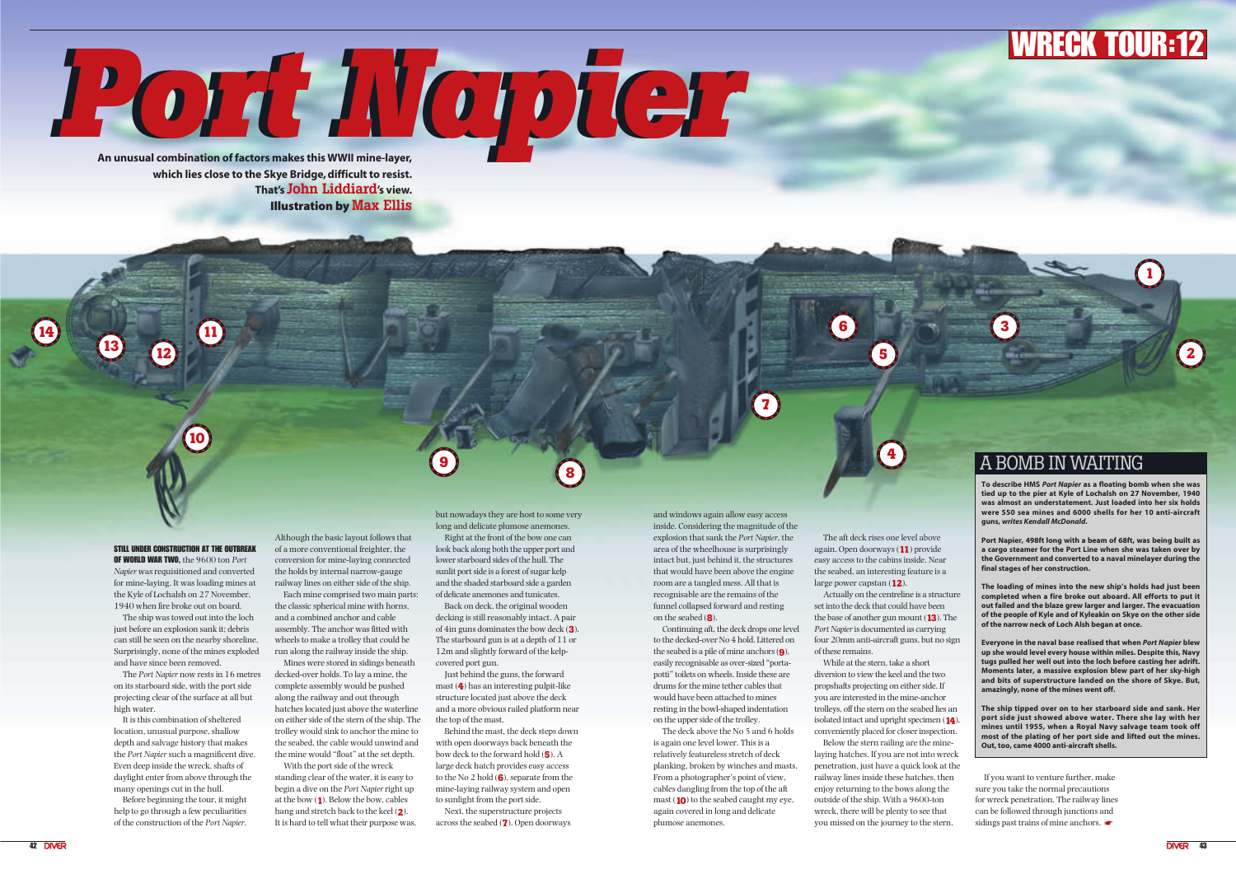**Port Napier An Unusual combination of factors makes this WWII mine-layer, which lies close to the Skye Bridge, difficult to resist. That's John Liddiard's view.** Illustration by **Max Ellis**

## STILL UNDER CONSTRUCTION AT THE OUTBREAK

OF WORLD WAR TWO, the 9600 ton *Port Napier* was requisitioned and converted for mine-laying. It was loading mines at the Kyle of Lochalsh on 27 November, 1940 when fire broke out on board.

The ship was towed out into the loch just before an explosion sank it; debris can still be seen on the nearby shoreline. Surprisingly, none of the mines exploded and have since been removed.

The *Port Napier* now rests in 16 metres on its starboard side, with the port side projecting clear of the surface at all but high water.

It is this combination of sheltered location, unusual purpose, shallow depth and salvage history that makes the *Port Napier*such a magnificent dive. Even deep inside the wreck, shafts of daylight enter from above through the many openings cut in the hull.

Before beginning the tour, it might help to go through a few peculiarities of the construction of the *Port Napier*.

Although the basic layout follows that of a more conventional freighter, the conversion for mine-laying connected the holds by internal narrow-gauge railway lines on either side of the ship.

Each mine comprised two main parts: the classic spherical mine with horns, and a combined anchor and cable assembly. The anchor was fitted with wheels to make a trolley that could be run along the railway inside the ship.

Mines were stored in sidings beneath decked-over holds. To lay a mine, the complete assembly would be pushed along the railway and out through hatches located just above the waterline on either side of the stern of the ship. The trolley would sink to anchor the mine to the seabed, the cable would unwind and the mine would "float" at the set depth.

With the port side of the wreck standing clear of the water, it is easy to begin a dive on the *Port Napier*right up at the bow (**1**). Below the bow, cables hang and stretch back to the keel (**2**). It is hard to tell what their purpose was, but nowadays they are host to some very long and delicate plumose anemones.

Right at the front of the bow one can look back along both the upper port and lower starboard sides of the hull. The sunlit port side is a forest of sugar kelp and the shaded starboard side a garden of delicate anemones and tunicates.

Back on deck, the original wooden decking is still reasonably intact. A pair of 4in guns dominates the bow deck (**3**). The starboard gun is at a depth of 11 or 12m and slightly forward of the kelpcovered port gun.

> If you want to venture further, make sure you take the normal precautions for wreck penetration. The railway lines can be followed through junctions and sidings past trains of mine anchors.

Just behind the guns, the forward mast (**4**) has an interesting pulpit-like structure located just above the deck and a more obvious railed platform near the top of the mast.

Behind the mast, the deck steps down with open doorways back beneath the bow deck to the forward hold (**5**). A large deck hatch provides easy access to the No 2 hold (**6**), separate from the mine-laying railway system and open to sunlight from the port side.

Next, the superstructure projects across the seabed (**7**). Open doorways and windows again allow easy access inside. Considering the magnitude of the explosion that sank the *Port Napier*, the area of the wheelhouse is surprisingly intact but, just behind it, the structures that would have been above the engine room are a tangled mess. All that is recognisable are the remains of the funnel collapsed forward and resting on the seabed (**8**).

Continuing aft, the deck drops one level to the decked-over No 4 hold. Littered on the seabed is a pile of mine anchors (**9**), easily recognisable as over-sized "portapotti" toilets on wheels. Inside these are drums for the mine tether cables that would have been attached to mines resting in the bowl-shaped indentation on the upper side of the trolley.

The deck above the No 5 and 6 holds is again one level lower. This is a relatively featureless stretch of deck planking, broken by winches and masts. From a photographer's point of view, cables dangling from the top of the aft mast (**10**) to the seabed caught my eye, again covered in long and delicate plumose anemones.

The aft deck rises one level above again. Open doorways (**11**) provide easy access to the cabins inside. Near the seabed, an interesting feature is a large power capstan (**12**).

Actually on the centreline is a structure set into the deck that could have been the base of another gun mount (**13**). The *Port Napier*is documented as carrying four 20mm anti-aircraft guns, but no sign of these remains.

While at the stern, take a short diversion to view the keel and the two propshafts projecting on either side. If you are interested in the mine-anchor trolleys, off the stern on the seabed lies an isolated intact and upright specimen (**14**), conveniently placed for closer inspection.

Below the stern railing are the minelaying hatches. If you are not into wreck penetration, just have a quick look at the railway lines inside these hatches, then enjoy returning to the bows along the outside of the ship. With a 9600-ton wreck, there will be plenty to see that you missed on the journey to the stern.

## **RECK**

**9**

**1**

**2**

**3**

**4**

**5**

**6**

**7**

**8**

**11**

**<sup>12</sup> <sup>13</sup>**

**14**

**10**

**To describe HMS** *Port Napier* **as a floating bomb when she was tied up to the pier at Kyle of Lochalsh on 27 November, 1940 was almost an understatement. Just loaded into her six holds were 550 sea mines and 6000 shells for her 10 anti-aircraft guns,** *writes Kendall McDonald***.**

**Port Napier, 498ft long with a beam of 68ft, was being built as a cargo steamer for the Port Line when she was taken over by the Government and converted to a naval minelayer during the final stages of her construction.**

**The loading of mines into the new ship's holds had just been completed when a fire broke out aboard. All efforts to put it out failed and the blaze grew larger and larger. The evacuation of the people of Kyle and of Kyleakin on Skye on the other side of the narrow neck of Loch Alsh began at once.** 

**Everyone in the naval base realised that when** *Port Napier* **blew up she would level every house within miles. Despite this, Navy tugs pulled her well out into the loch before casting her adrift. Moments later, a massive explosion blew part of her sky-high and bits of superstructure landed on the shore of Skye. But, amazingly, none of the mines went off.**

**The ship tipped over on to her starboard side and sank. Her port side just showed above water. There she lay with her mines until 1955, when a Royal Navy salvage team took off most of the plating of her port side and lifted out the mines. Out, too, came 4000 anti-aircraft shells.**

## A BOMB IN WAITING